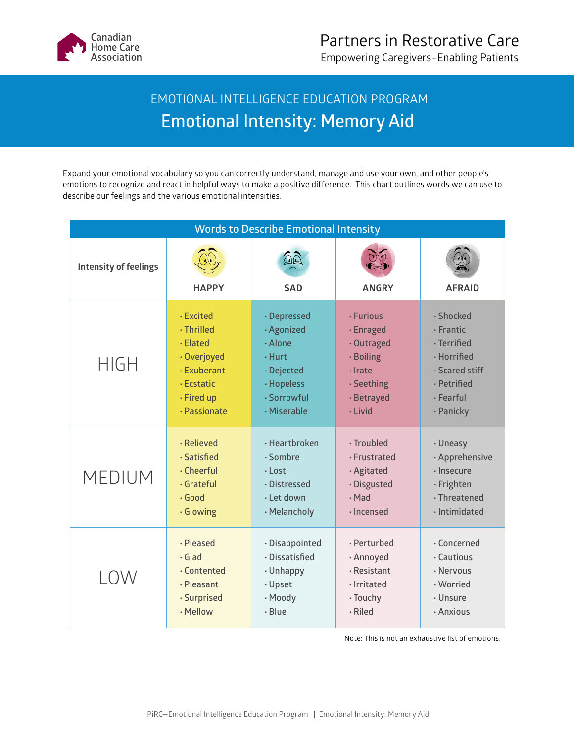

## EMOTIONAL INTELLIGENCE EDUCATION PROGRAM **Emotional Intensity: Memory Aid**

Expand your emotional vocabulary so you can correctly understand, manage and use your own, and other people's emotions to recognize and react in helpful ways to make a positive difference. This chart outlines words we can use to describe our feelings and the various emotional intensities.

| <b>Words to Describe Emotional Intensity</b> |                  |                        |                   |                      |
|----------------------------------------------|------------------|------------------------|-------------------|----------------------|
| <b>Intensity of feelings</b>                 | <b>HAPPY</b>     | $\Omega$<br><b>SAD</b> | <b>ANGRY</b>      | <b>AFRAID</b>        |
| <b>HIGH</b>                                  | <b>· Excited</b> | · Depressed            | · Furious         | · Shocked            |
|                                              | $\cdot$ Thrilled | · Agonized             | · Enraged         | $\cdot$ Frantic      |
|                                              | · Elated         | · Alone                | · Outraged        | $\cdot$ Terrified    |
|                                              | · Overjoyed      | $\cdot$ Hurt           | · Boiling         | · Horrified          |
|                                              | · Exuberant      | · Dejected             | $\cdot$ Irate     | $\cdot$ Scared stiff |
|                                              | · Ecstatic       | · Hopeless             | · Seething        | · Petrified          |
|                                              | · Fired up       | · Sorrowful            | · Betrayed        | $\cdot$ Fearful      |
|                                              | · Passionate     | · Miserable            | · Livid           | · Panicky            |
| <b>MEDIUM</b>                                | · Relieved       | $\cdot$ Heartbroken    | · Troubled        | · Uneasy             |
|                                              | · Satisfied      | $\cdot$ Sombre         | · Frustrated      | · Apprehensive       |
|                                              | $\cdot$ Cheerful | $\cdot$ Lost           | · Agitated        | $\cdot$ Insecure     |
|                                              | · Grateful       | · Distressed           | · Disgusted       | · Frighten           |
|                                              | $\cdot$ Good     | $\cdot$ Let down       | $\cdot$ Mad       | $\cdot$ Threatened   |
|                                              | · Glowing        | · Melancholy           | $\cdot$ Incensed  | · Intimidated        |
| LOW                                          | · Pleased        | · Disappointed         | · Perturbed       | $\cdot$ Concerned    |
|                                              | $\cdot$ Glad     | · Dissatisfied         | · Annoyed         | $\cdot$ Cautious     |
|                                              | . Contented      | · Unhappy              | $\cdot$ Resistant | · Nervous            |
|                                              | · Pleasant       | · Upset                | · Irritated       | · Worried            |
|                                              | · Surprised      | · Moody                | · Touchy          | · Unsure             |
|                                              | · Mellow         | $\cdot$ Blue           | $\cdot$ Riled     | · Anxious            |

Note: This is not an exhaustive list of emotions.